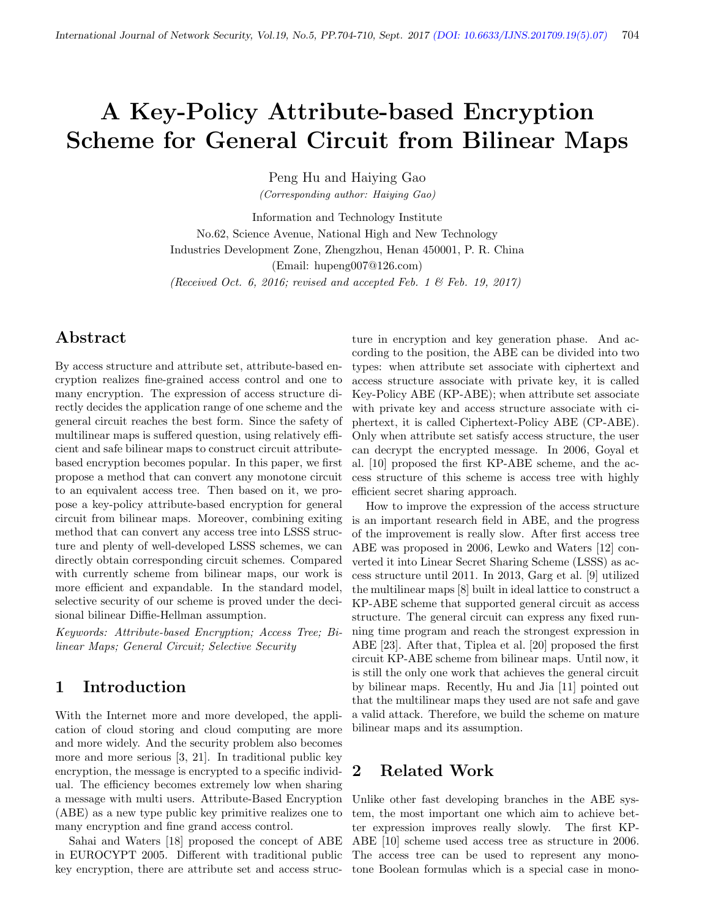# A Key-Policy Attribute-based Encryption Scheme for General Circuit from Bilinear Maps

Peng Hu and Haiying Gao

(Corresponding author: Haiying Gao)

Information and Technology Institute No.62, Science Avenue, National High and New Technology Industries Development Zone, Zhengzhou, Henan 450001, P. R. China (Email: hupeng007@126.com) (Received Oct. 6, 2016; revised and accepted Feb. 1  $\mathcal{B}$  Feb. 19, 2017)

## Abstract

By access structure and attribute set, attribute-based encryption realizes fine-grained access control and one to many encryption. The expression of access structure directly decides the application range of one scheme and the general circuit reaches the best form. Since the safety of multilinear maps is suffered question, using relatively efficient and safe bilinear maps to construct circuit attributebased encryption becomes popular. In this paper, we first propose a method that can convert any monotone circuit to an equivalent access tree. Then based on it, we propose a key-policy attribute-based encryption for general circuit from bilinear maps. Moreover, combining exiting method that can convert any access tree into LSSS structure and plenty of well-developed LSSS schemes, we can directly obtain corresponding circuit schemes. Compared with currently scheme from bilinear maps, our work is more efficient and expandable. In the standard model, selective security of our scheme is proved under the decisional bilinear Diffie-Hellman assumption.

Keywords: Attribute-based Encryption; Access Tree; Bilinear Maps; General Circuit; Selective Security

## 1 Introduction

With the Internet more and more developed, the application of cloud storing and cloud computing are more and more widely. And the security problem also becomes more and more serious [3, 21]. In traditional public key encryption, the message is encrypted to a specific individual. The efficiency becomes extremely low when sharing a message with multi users. Attribute-Based Encryption (ABE) as a new type public key primitive realizes one to many encryption and fine grand access control.

Sahai and Waters [18] proposed the concept of ABE in EUROCYPT 2005. Different with traditional public key encryption, there are attribute set and access structure in encryption and key generation phase. And according to the position, the ABE can be divided into two types: when attribute set associate with ciphertext and access structure associate with private key, it is called Key-Policy ABE (KP-ABE); when attribute set associate with private key and access structure associate with ciphertext, it is called Ciphertext-Policy ABE (CP-ABE). Only when attribute set satisfy access structure, the user can decrypt the encrypted message. In 2006, Goyal et al. [10] proposed the first KP-ABE scheme, and the access structure of this scheme is access tree with highly efficient secret sharing approach.

How to improve the expression of the access structure is an important research field in ABE, and the progress of the improvement is really slow. After first access tree ABE was proposed in 2006, Lewko and Waters [12] converted it into Linear Secret Sharing Scheme (LSSS) as access structure until 2011. In 2013, Garg et al. [9] utilized the multilinear maps [8] built in ideal lattice to construct a KP-ABE scheme that supported general circuit as access structure. The general circuit can express any fixed running time program and reach the strongest expression in ABE [23]. After that, Tiplea et al. [20] proposed the first circuit KP-ABE scheme from bilinear maps. Until now, it is still the only one work that achieves the general circuit by bilinear maps. Recently, Hu and Jia [11] pointed out that the multilinear maps they used are not safe and gave a valid attack. Therefore, we build the scheme on mature bilinear maps and its assumption.

## 2 Related Work

Unlike other fast developing branches in the ABE system, the most important one which aim to achieve better expression improves really slowly. The first KP-ABE [10] scheme used access tree as structure in 2006. The access tree can be used to represent any monotone Boolean formulas which is a special case in mono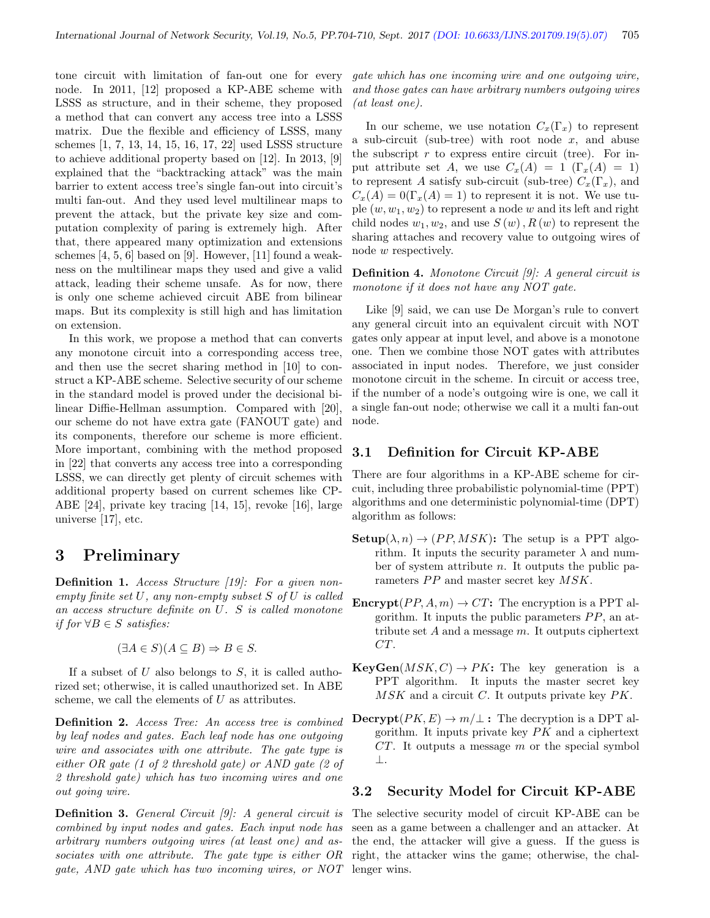tone circuit with limitation of fan-out one for every node. In 2011, [12] proposed a KP-ABE scheme with LSSS as structure, and in their scheme, they proposed a method that can convert any access tree into a LSSS matrix. Due the flexible and efficiency of LSSS, many schemes [1, 7, 13, 14, 15, 16, 17, 22] used LSSS structure to achieve additional property based on [12]. In 2013, [9] explained that the "backtracking attack" was the main barrier to extent access tree's single fan-out into circuit's multi fan-out. And they used level multilinear maps to prevent the attack, but the private key size and computation complexity of paring is extremely high. After that, there appeared many optimization and extensions schemes [4, 5, 6] based on [9]. However, [11] found a weakness on the multilinear maps they used and give a valid attack, leading their scheme unsafe. As for now, there is only one scheme achieved circuit ABE from bilinear maps. But its complexity is still high and has limitation on extension.

In this work, we propose a method that can converts any monotone circuit into a corresponding access tree, and then use the secret sharing method in [10] to construct a KP-ABE scheme. Selective security of our scheme in the standard model is proved under the decisional bilinear Diffie-Hellman assumption. Compared with [20], our scheme do not have extra gate (FANOUT gate) and its components, therefore our scheme is more efficient. More important, combining with the method proposed in [22] that converts any access tree into a corresponding LSSS, we can directly get plenty of circuit schemes with additional property based on current schemes like CP-ABE [24], private key tracing [14, 15], revoke [16], large universe [17], etc.

#### 3 Preliminary

Definition 1. Access Structure [19]: For a given nonempty finite set U, any non-empty subset S of U is called an access structure definite on U. S is called monotone *if for*  $∀B ∈ S$  *satisfies:* 

$$
(\exists A \in S)(A \subseteq B) \Rightarrow B \in S.
$$

If a subset of  $U$  also belongs to  $S$ , it is called authorized set; otherwise, it is called unauthorized set. In ABE scheme, we call the elements of  $U$  as attributes.

Definition 2. Access Tree: An access tree is combined by leaf nodes and gates. Each leaf node has one outgoing wire and associates with one attribute. The gate type is either OR gate (1 of 2 threshold gate) or AND gate (2 of 2 threshold gate) which has two incoming wires and one out going wire.

**Definition 3.** General Circuit [9]: A general circuit is combined by input nodes and gates. Each input node has arbitrary numbers outgoing wires (at least one) and associates with one attribute. The gate type is either OR gate, AND gate which has two incoming wires, or NOT

gate which has one incoming wire and one outgoing wire, and those gates can have arbitrary numbers outgoing wires (at least one).

In our scheme, we use notation  $C_x(\Gamma_x)$  to represent a sub-circuit (sub-tree) with root node  $x$ , and abuse the subscript  $r$  to express entire circuit (tree). For input attribute set A, we use  $C_x(A) = 1$  (Γ $_x(A) = 1$ ) to represent A satisfy sub-circuit (sub-tree)  $C_x(\Gamma_x)$ , and  $C_x(A) = 0(\Gamma_x(A) = 1)$  to represent it is not. We use tuple  $(w, w_1, w_2)$  to represent a node w and its left and right child nodes  $w_1, w_2$ , and use  $S(w)$ ,  $R(w)$  to represent the sharing attaches and recovery value to outgoing wires of node w respectively.

Definition 4. Monotone Circuit [9]: A general circuit is monotone if it does not have any NOT gate.

Like [9] said, we can use De Morgan's rule to convert any general circuit into an equivalent circuit with NOT gates only appear at input level, and above is a monotone one. Then we combine those NOT gates with attributes associated in input nodes. Therefore, we just consider monotone circuit in the scheme. In circuit or access tree, if the number of a node's outgoing wire is one, we call it a single fan-out node; otherwise we call it a multi fan-out node.

#### 3.1 Definition for Circuit KP-ABE

There are four algorithms in a KP-ABE scheme for circuit, including three probabilistic polynomial-time (PPT) algorithms and one deterministic polynomial-time (DPT) algorithm as follows:

- **: The setup is a PPT algo**rithm. It inputs the security parameter  $\lambda$  and number of system attribute  $n$ . It outputs the public parameters  $PP$  and master secret key  $MSK$ .
- **Encrypt** $(PP, A, m) \rightarrow CT$ : The encryption is a PPT algorithm. It inputs the public parameters  $PP$ , an attribute set  $A$  and a message  $m$ . It outputs ciphertext CT.
- $\textbf{KeyGen}(MSK, C) \rightarrow PK:$  The key generation is a PPT algorithm. It inputs the master secret key  $MSK$  and a circuit C. It outputs private key  $PK$ .
- $\textbf{Decrypt}(PK, E) \rightarrow m/\perp$ : The decryption is a DPT algorithm. It inputs private key  $PK$  and a ciphertext  $CT.$  It outputs a message  $m$  or the special symbol ⊥.

#### 3.2 Security Model for Circuit KP-ABE

The selective security model of circuit KP-ABE can be seen as a game between a challenger and an attacker. At the end, the attacker will give a guess. If the guess is right, the attacker wins the game; otherwise, the challenger wins.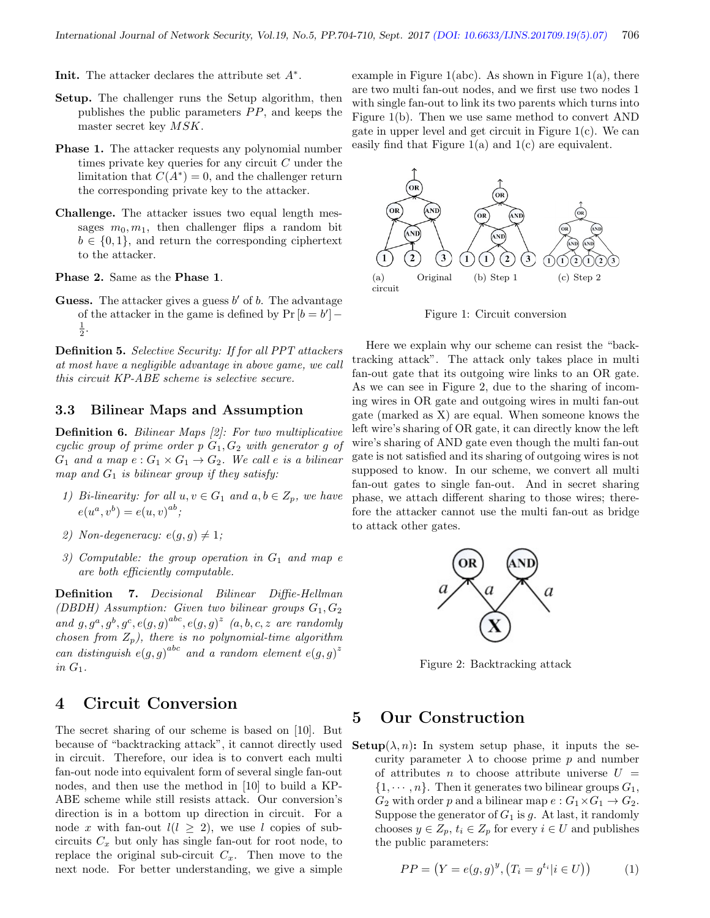**Init.** The attacker declares the attribute set  $A^*$ .

- Setup. The challenger runs the Setup algorithm, then publishes the public parameters  $PP$ , and keeps the master secret key MSK.
- **Phase 1.** The attacker requests any polynomial number times private key queries for any circuit  $C$  under the limitation that  $C(A^*) = 0$ , and the challenger return the corresponding private key to the attacker.
- Challenge. The attacker issues two equal length messages  $m_0, m_1$ , then challenger flips a random bit  $b \in \{0, 1\}$ , and return the corresponding ciphertext to the attacker.

Phase 2. Same as the Phase 1.

Guess. The attacker gives a guess  $b'$  of  $b$ . The advantage of the attacker in the game is defined by  $Pr[b = b'] \frac{1}{2}$ .

Definition 5. Selective Security: If for all PPT attackers at most have a negligible advantage in above game, we call this circuit KP-ABE scheme is selective secure.

#### 3.3 Bilinear Maps and Assumption

Definition 6. Bilinear Maps [2]: For two multiplicative cyclic group of prime order  $p G_1, G_2$  with generator g of  $G_1$  and a map  $e: G_1 \times G_1 \rightarrow G_2$ . We call e is a bilinear map and  $G_1$  is bilinear group if they satisfy:

- 1) Bi-linearity: for all  $u, v \in G_1$  and  $a, b \in Z_p$ , we have  $e(u^{a}, v^{b}) = e(u, v)^{ab};$
- 2) Non-degeneracy:  $e(g, g) \neq 1$ ;
- 3) Computable: the group operation in  $G_1$  and map e are both efficiently computable.

Definition 7. Decisional Bilinear Diffie-Hellman (DBDH) Assumption: Given two bilinear groups  $G_1, G_2$ and  $g, g^a, g^b, g^c, e(g, g)^{abc}, e(g, g)^z$  (a, b, c, z are randomly chosen from  $Z_p$ ), there is no polynomial-time algorithm can distinguish  $e(g, g)^{abc}$  and a random element  $e(g, g)^z$ in  $G_1$ .

#### 4 Circuit Conversion

The secret sharing of our scheme is based on [10]. But because of "backtracking attack", it cannot directly used in circuit. Therefore, our idea is to convert each multi fan-out node into equivalent form of several single fan-out nodes, and then use the method in [10] to build a KP-ABE scheme while still resists attack. Our conversion's direction is in a bottom up direction in circuit. For a node x with fan-out  $l(l \geq 2)$ , we use l copies of subcircuits  $C_x$  but only has single fan-out for root node, to replace the original sub-circuit  $C_x$ . Then move to the next node. For better understanding, we give a simple

example in Figure 1(abc). As shown in Figure 1(a), there are two multi fan-out nodes, and we first use two nodes 1 with single fan-out to link its two parents which turns into Figure 1(b). Then we use same method to convert AND gate in upper level and get circuit in Figure 1(c). We can easily find that Figure  $1(a)$  and  $1(c)$  are equivalent.



Figure 1: Circuit conversion

Here we explain why our scheme can resist the "backtracking attack". The attack only takes place in multi fan-out gate that its outgoing wire links to an OR gate. As we can see in Figure 2, due to the sharing of incoming wires in OR gate and outgoing wires in multi fan-out gate (marked as X) are equal. When someone knows the left wire's sharing of OR gate, it can directly know the left wire's sharing of AND gate even though the multi fan-out gate is not satisfied and its sharing of outgoing wires is not supposed to know. In our scheme, we convert all multi fan-out gates to single fan-out. And in secret sharing phase, we attach different sharing to those wires; therefore the attacker cannot use the multi fan-out as bridge to attack other gates.



Figure 2: Backtracking attack

## 5 Our Construction

**Setup** $(\lambda, n)$ : In system setup phase, it inputs the security parameter  $\lambda$  to choose prime p and number of attributes n to choose attribute universe  $U =$  $\{1, \dots, n\}$ . Then it generates two bilinear groups  $G_1$ ,  $G_2$  with order p and a bilinear map  $e: G_1 \times G_1 \to G_2$ . Suppose the generator of  $G_1$  is g. At last, it randomly chooses  $y \in Z_p$ ,  $t_i \in Z_p$  for every  $i \in U$  and publishes the public parameters:

$$
PP = (Y = e(g, g)^{y}, (T_i = g^{t_i} | i \in U))
$$
 (1)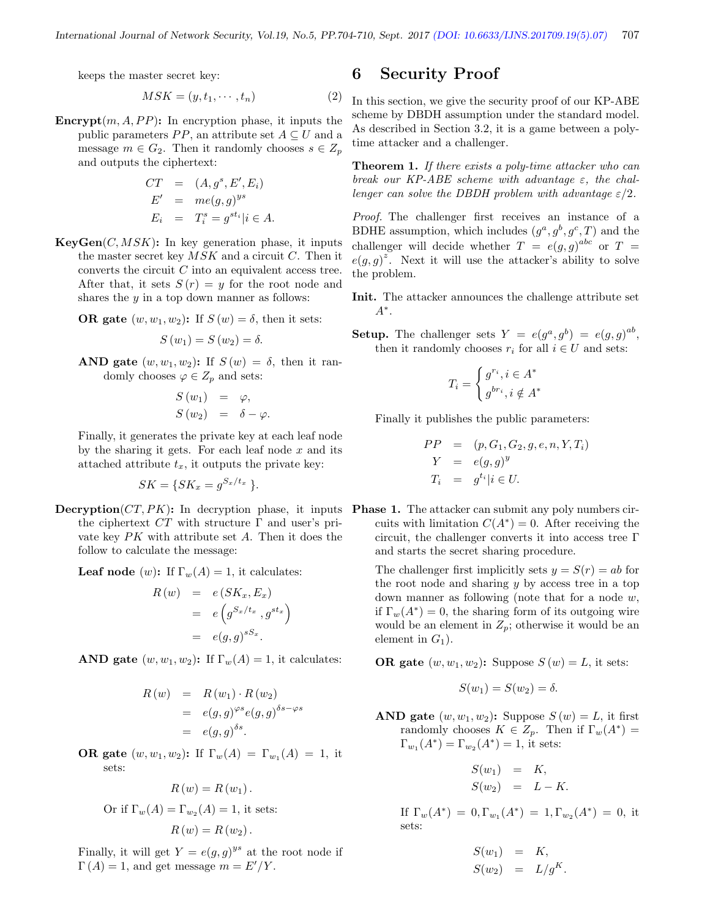keeps the master secret key:

$$
MSK = (y, t_1, \cdots, t_n) \tag{2}
$$

**Encrypt** $(m, A, PP)$ : In encryption phase, it inputs the public parameters  $PP$ , an attribute set  $A \subseteq U$  and a message  $m \in G_2$ . Then it randomly chooses  $s \in Z_p$ and outputs the ciphertext:

$$
CT = (A, gs, E', Ei)
$$
  
\n
$$
E' = me(g, g)ys
$$
  
\n
$$
E_i = T_is = gsti | i \in A.
$$

 $KeyGen(C, MSK)$ : In key generation phase, it inputs the master secret key  $MSK$  and a circuit C. Then it converts the circuit  $C$  into an equivalent access tree. After that, it sets  $S(r) = y$  for the root node and shares the  $y$  in a top down manner as follows:

**OR** gate  $(w, w_1, w_2)$ : If  $S(w) = \delta$ , then it sets:

$$
S(w_1) = S(w_2) = \delta.
$$

AND gate  $(w, w_1, w_2)$ : If  $S(w) = \delta$ , then it randomly chooses  $\varphi \in Z_p$  and sets:

$$
S(w_1) = \varphi,
$$
  
\n
$$
S(w_2) = \delta - \varphi.
$$

Finally, it generates the private key at each leaf node by the sharing it gets. For each leaf node  $x$  and its attached attribute  $t_x$ , it outputs the private key:

$$
SK = \{SK_x = g^{S_x/t_x} \}.
$$

**Decryption**  $(CT, PK)$ : In decryption phase, it inputs **Phase 1.** The attacker can submit any poly numbers cirthe ciphertext  $CT$  with structure  $\Gamma$  and user's private key  $PK$  with attribute set  $A$ . Then it does the follow to calculate the message:

**Leaf node** (w): If  $\Gamma_w(A) = 1$ , it calculates:

$$
R(w) = e(SK_x, E_x)
$$
  
=  $e(g^{S_x/t_x}, g^{st_x})$   
=  $e(g, g)^{sS_x}$ .

AND gate  $(w, w_1, w_2)$ : If  $\Gamma_w(A) = 1$ , it calculates:

$$
R(w) = R(w_1) \cdot R(w_2)
$$
  
=  $e(g, g)^{\varphi s} e(g, g)^{\delta s - \varphi s}$   
=  $e(g, g)^{\delta s}$ .

**OR** gate  $(w, w_1, w_2)$ : If  $\Gamma_w(A) = \Gamma_{w_1}(A) = 1$ , it sets:

$$
R(w) = R(w_1).
$$
  
Or if  $\Gamma_w(A) = \Gamma_{w_2}(A) = 1$ , it sets:  

$$
R(w) = R(w_2).
$$

Finally, it will get  $Y = e(g, g)^{ys}$  at the root node if  $\Gamma(A) = 1$ , and get message  $m = E'/Y$ .

#### 6 Security Proof

In this section, we give the security proof of our KP-ABE scheme by DBDH assumption under the standard model. As described in Section 3.2, it is a game between a polytime attacker and a challenger.

Theorem 1. If there exists a poly-time attacker who can break our KP-ABE scheme with advantage  $\varepsilon$ , the challenger can solve the DBDH problem with advantage  $\varepsilon/2$ .

Proof. The challenger first receives an instance of a BDHE assumption, which includes  $(g^a, g^b, g^c, T)$  and the challenger will decide whether  $T = e(g, g)^{abc}$  or  $T =$  $e(g, g)^z$ . Next it will use the attacker's ability to solve the problem.

- Init. The attacker announces the challenge attribute set A<sup>∗</sup> .
- **Setup.** The challenger sets  $Y = e(g^a, g^b) = e(g, g)^{ab}$ , then it randomly chooses  $r_i$  for all  $i \in U$  and sets:

$$
T_i = \begin{cases} g^{r_i}, i \in A^* \\ g^{br_i}, i \notin A^* \end{cases}
$$

Finally it publishes the public parameters:

$$
PP = (p, G_1, G_2, g, e, n, Y, T_i)
$$
  
\n
$$
Y = e(g, g)^y
$$
  
\n
$$
T_i = g^{t_i} | i \in U.
$$

cuits with limitation  $C(A^*)=0$ . After receiving the circuit, the challenger converts it into access tree Γ and starts the secret sharing procedure.

The challenger first implicitly sets  $y = S(r) = ab$  for the root node and sharing  $y$  by access tree in a top down manner as following (note that for a node  $w$ , if  $\Gamma_w(A^*) = 0$ , the sharing form of its outgoing wire would be an element in  $Z_p$ ; otherwise it would be an element in  $G_1$ ).

**OR** gate  $(w, w_1, w_2)$ : Suppose  $S(w) = L$ , it sets:

$$
S(w_1) = S(w_2) = \delta.
$$

AND gate  $(w, w_1, w_2)$ : Suppose  $S(w) = L$ , it first randomly chooses  $K \in Z_p$ . Then if  $\Gamma_w(A^*) =$  $\Gamma_{w_1}(A^*) = \Gamma_{w_2}(A^*) = 1$ , it sets:

$$
S(w_1) = K,
$$
  
\n
$$
S(w_2) = L - K.
$$

If  $\Gamma_w(A^*) = 0, \Gamma_{w_1}(A^*) = 1, \Gamma_{w_2}(A^*) = 0$ , it sets:

$$
S(w_1) = K,
$$
  

$$
S(w_2) = L/g^K.
$$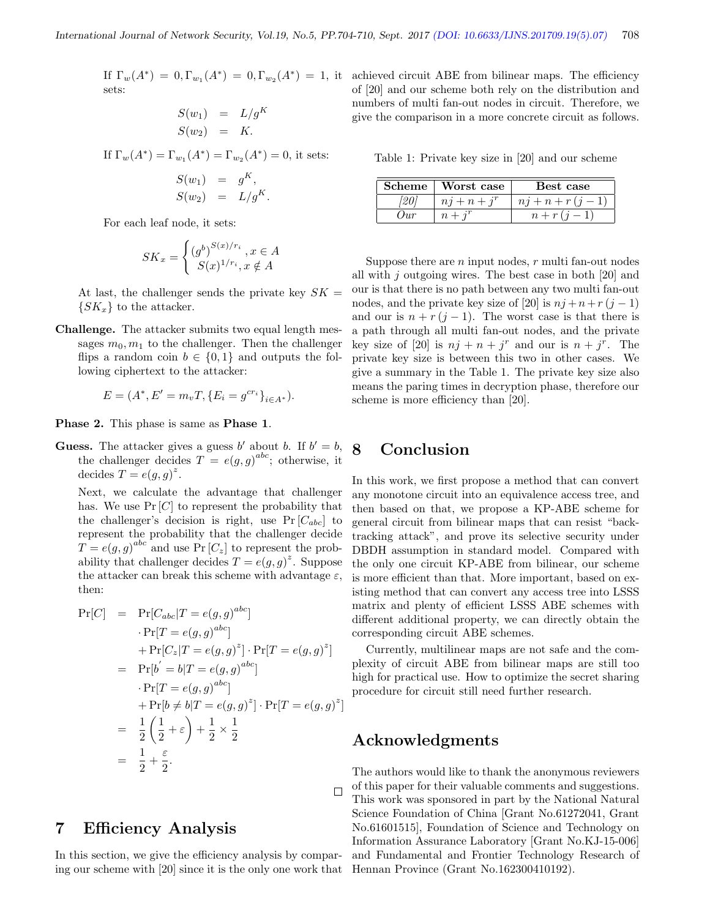sets:

$$
S(w_1) = L/g^K
$$
  

$$
S(w_2) = K.
$$

If  $\Gamma_w(A^*) = \Gamma_{w_1}(A^*) = \Gamma_{w_2}(A^*) = 0$ , it sets:  $S(w_1) = g^K$ ,  $S(w_2) = L/g^K$ .

For each leaf node, it sets:

$$
SK_x = \begin{cases} (g^b)^{S(x)/r_i}, x \in A \\ S(x)^{1/r_i}, x \notin A \end{cases}
$$

At last, the challenger sends the private key  $SK =$  $\{SK_x\}$  to the attacker.

Challenge. The attacker submits two equal length messages  $m_0, m_1$  to the challenger. Then the challenger flips a random coin  $b \in \{0,1\}$  and outputs the following ciphertext to the attacker:

$$
E = (A^*, E' = m_v T, \{E_i = g^{cr_i}\}_{i \in A^*}).
$$

Phase 2. This phase is same as Phase 1.

**Guess.** The attacker gives a guess b' about b. If  $b' = b$ , the challenger decides  $T = e(g, g)^{abc}$ ; otherwise, it decides  $T = e(g, g)^z$ .

Next, we calculate the advantage that challenger has. We use  $Pr[C]$  to represent the probability that the challenger's decision is right, use  $Pr[C_{abc}]$  to represent the probability that the challenger decide  $T = e(g, g)^{abc}$  and use Pr  $[C_z]$  to represent the probability that challenger decides  $T = e(g, g)^z$ . Suppose the attacker can break this scheme with advantage  $\varepsilon$ , then:

$$
Pr[C] = Pr[C_{abc}|T = e(g,g)^{abc}]
$$
  
\n
$$
\cdot Pr[T = e(g,g)^{abc}]
$$
  
\n
$$
+ Pr[C_z|T = e(g,g)^z] \cdot Pr[T = e(g,g)^z]
$$
  
\n
$$
= Pr[b' = b|T = e(g,g)^{abc}]
$$
  
\n
$$
\cdot Pr[T = e(g,g)^{abc}]
$$
  
\n
$$
+ Pr[b \neq b|T = e(g,g)^z] \cdot Pr[T = e(g,g)^z]
$$
  
\n
$$
= \frac{1}{2} \left(\frac{1}{2} + \varepsilon\right) + \frac{1}{2} \times \frac{1}{2}
$$
  
\n
$$
= \frac{1}{2} + \frac{\varepsilon}{2}.
$$

## 7 Efficiency Analysis

In this section, we give the efficiency analysis by comparing our scheme with [20] since it is the only one work that

If  $\Gamma_w(A^*) = 0$ ,  $\Gamma_{w_1}(A^*) = 0$ ,  $\Gamma_{w_2}(A^*) = 1$ , it achieved circuit ABE from bilinear maps. The efficiency of [20] and our scheme both rely on the distribution and numbers of multi fan-out nodes in circuit. Therefore, we give the comparison in a more concrete circuit as follows.

Table 1: Private key size in [20] and our scheme

|          | Scheme   Worst case | Best case             |
|----------|---------------------|-----------------------|
|          | $nj + n + j^r$      | $n j + n + r (j - 1)$ |
| $_{Dur}$ | $n + i^r$           | $n + r(i-1)$          |

Suppose there are  $n$  input nodes,  $r$  multi fan-out nodes all with  $j$  outgoing wires. The best case in both [20] and our is that there is no path between any two multi fan-out nodes, and the private key size of [20] is  $n j + n + r (j - 1)$ and our is  $n + r(j-1)$ . The worst case is that there is a path through all multi fan-out nodes, and the private key size of [20] is  $nj + n + j^r$  and our is  $n + j^r$ . The private key size is between this two in other cases. We give a summary in the Table 1. The private key size also means the paring times in decryption phase, therefore our scheme is more efficiency than [20].

## 8 Conclusion

In this work, we first propose a method that can convert any monotone circuit into an equivalence access tree, and then based on that, we propose a KP-ABE scheme for general circuit from bilinear maps that can resist "backtracking attack", and prove its selective security under DBDH assumption in standard model. Compared with the only one circuit KP-ABE from bilinear, our scheme is more efficient than that. More important, based on existing method that can convert any access tree into LSSS matrix and plenty of efficient LSSS ABE schemes with different additional property, we can directly obtain the corresponding circuit ABE schemes.

Currently, multilinear maps are not safe and the complexity of circuit ABE from bilinear maps are still too high for practical use. How to optimize the secret sharing procedure for circuit still need further research.

#### Acknowledgments

 $\Box$ 

The authors would like to thank the anonymous reviewers of this paper for their valuable comments and suggestions. This work was sponsored in part by the National Natural Science Foundation of China [Grant No.61272041, Grant No.61601515], Foundation of Science and Technology on Information Assurance Laboratory [Grant No.KJ-15-006] and Fundamental and Frontier Technology Research of Hennan Province (Grant No.162300410192).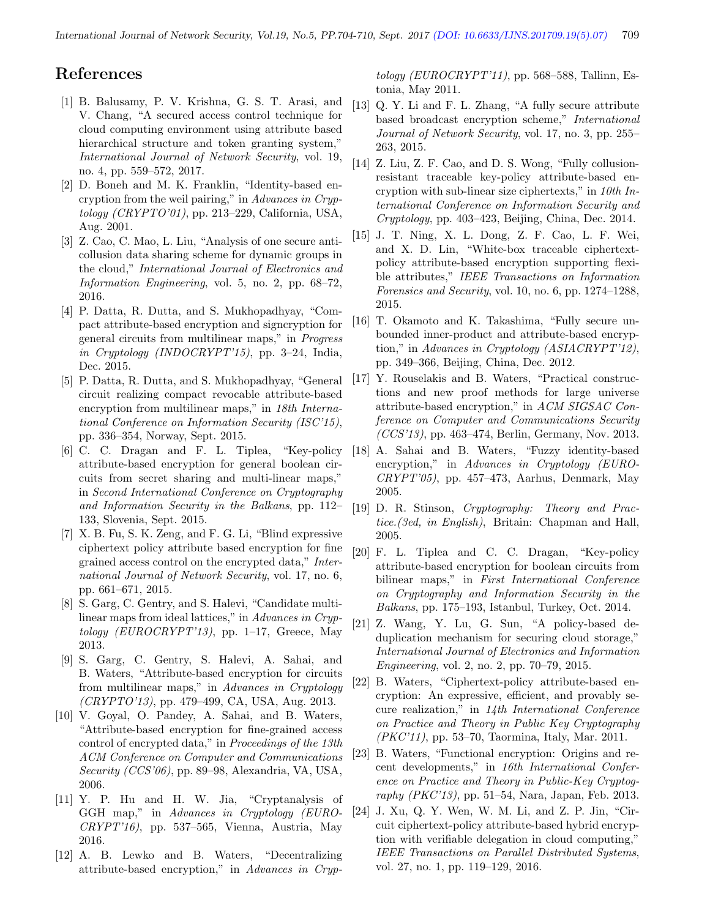#### References

- [1] B. Balusamy, P. V. Krishna, G. S. T. Arasi, and V. Chang, "A secured access control technique for cloud computing environment using attribute based hierarchical structure and token granting system," International Journal of Network Security, vol. 19, no. 4, pp. 559–572, 2017.
- [2] D. Boneh and M. K. Franklin, "Identity-based encryption from the weil pairing," in Advances in Cryptology (CRYPTO'01), pp. 213–229, California, USA, Aug. 2001.
- [3] Z. Cao, C. Mao, L. Liu, "Analysis of one secure anticollusion data sharing scheme for dynamic groups in the cloud," International Journal of Electronics and Information Engineering, vol. 5, no. 2, pp. 68–72, 2016.
- [4] P. Datta, R. Dutta, and S. Mukhopadhyay, "Compact attribute-based encryption and signcryption for general circuits from multilinear maps," in Progress in Cryptology (INDOCRYPT'15), pp. 3–24, India, Dec. 2015.
- [5] P. Datta, R. Dutta, and S. Mukhopadhyay, "General circuit realizing compact revocable attribute-based encryption from multilinear maps," in 18th International Conference on Information Security (ISC'15), pp. 336–354, Norway, Sept. 2015.
- [6] C. C. Dragan and F. L. Tiplea, "Key-policy attribute-based encryption for general boolean circuits from secret sharing and multi-linear maps," in Second International Conference on Cryptography and Information Security in the Balkans, pp. 112– 133, Slovenia, Sept. 2015.
- [7] X. B. Fu, S. K. Zeng, and F. G. Li, "Blind expressive ciphertext policy attribute based encryption for fine grained access control on the encrypted data," International Journal of Network Security, vol. 17, no. 6, pp. 661–671, 2015.
- [8] S. Garg, C. Gentry, and S. Halevi, "Candidate multilinear maps from ideal lattices," in Advances in Cryptology (EUROCRYPT'13), pp. 1–17, Greece, May 2013.
- [9] S. Garg, C. Gentry, S. Halevi, A. Sahai, and B. Waters, "Attribute-based encryption for circuits from multilinear maps," in Advances in Cryptology (CRYPTO'13), pp. 479–499, CA, USA, Aug. 2013.
- [10] V. Goyal, O. Pandey, A. Sahai, and B. Waters, "Attribute-based encryption for fine-grained access control of encrypted data," in Proceedings of the 13th ACM Conference on Computer and Communications Security (CCS'06), pp. 89–98, Alexandria, VA, USA, 2006.
- [11] Y. P. Hu and H. W. Jia, "Cryptanalysis of GGH map," in Advances in Cryptology (EURO-CRYPT'16), pp. 537–565, Vienna, Austria, May 2016.
- [12] A. B. Lewko and B. Waters, "Decentralizing attribute-based encryption," in Advances in Cryp-

tology (EUROCRYPT'11), pp. 568–588, Tallinn, Estonia, May 2011.

- [13] Q. Y. Li and F. L. Zhang, "A fully secure attribute based broadcast encryption scheme," International Journal of Network Security, vol. 17, no. 3, pp. 255– 263, 2015.
- [14] Z. Liu, Z. F. Cao, and D. S. Wong, "Fully collusionresistant traceable key-policy attribute-based encryption with sub-linear size ciphertexts," in  $10th$  International Conference on Information Security and Cryptology, pp. 403–423, Beijing, China, Dec. 2014.
- [15] J. T. Ning, X. L. Dong, Z. F. Cao, L. F. Wei, and X. D. Lin, "White-box traceable ciphertextpolicy attribute-based encryption supporting flexible attributes," IEEE Transactions on Information Forensics and Security, vol. 10, no. 6, pp. 1274–1288, 2015.
- [16] T. Okamoto and K. Takashima, "Fully secure unbounded inner-product and attribute-based encryption," in Advances in Cryptology (ASIACRYPT'12), pp. 349–366, Beijing, China, Dec. 2012.
- [17] Y. Rouselakis and B. Waters, "Practical constructions and new proof methods for large universe attribute-based encryption," in ACM SIGSAC Conference on Computer and Communications Security (CCS'13), pp. 463–474, Berlin, Germany, Nov. 2013.
- [18] A. Sahai and B. Waters, "Fuzzy identity-based encryption," in Advances in Cryptology (EURO- $CRYPT'05$ , pp. 457–473, Aarhus, Denmark, May 2005.
- [19] D. R. Stinson, *Cryptography: Theory and Prac*tice.(3ed, in English), Britain: Chapman and Hall, 2005.
- [20] F. L. Tiplea and C. C. Dragan, "Key-policy attribute-based encryption for boolean circuits from bilinear maps," in First International Conference on Cryptography and Information Security in the Balkans, pp. 175–193, Istanbul, Turkey, Oct. 2014.
- [21] Z. Wang, Y. Lu, G. Sun, "A policy-based deduplication mechanism for securing cloud storage," International Journal of Electronics and Information Engineering, vol. 2, no. 2, pp. 70–79, 2015.
- [22] B. Waters, "Ciphertext-policy attribute-based encryption: An expressive, efficient, and provably secure realization," in 14th International Conference on Practice and Theory in Public Key Cryptography (PKC'11), pp. 53–70, Taormina, Italy, Mar. 2011.
- [23] B. Waters, "Functional encryption: Origins and recent developments," in 16th International Conference on Practice and Theory in Public-Key Cryptography (PKC'13), pp. 51–54, Nara, Japan, Feb. 2013.
- [24] J. Xu, Q. Y. Wen, W. M. Li, and Z. P. Jin, "Circuit ciphertext-policy attribute-based hybrid encryption with verifiable delegation in cloud computing," IEEE Transactions on Parallel Distributed Systems, vol. 27, no. 1, pp. 119–129, 2016.